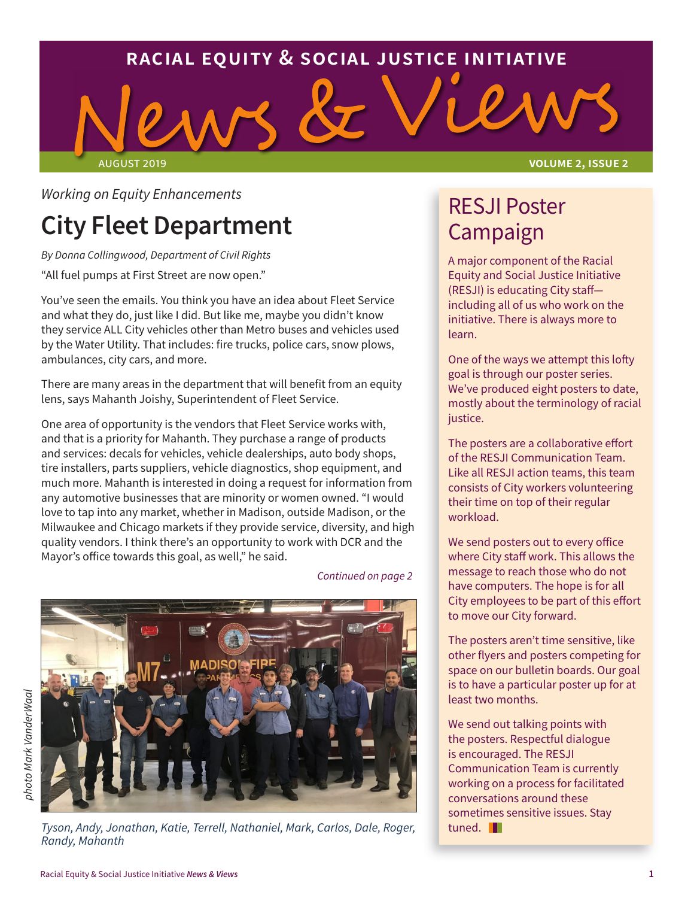

*Working on Equity Enhancements* 

# **City Fleet Department**

*By Donna Collingwood, Department of Civil Rights* "All fuel pumps at First Street are now open."

You've seen the emails. You think you have an idea about Fleet Service and what they do, just like I did. But like me, maybe you didn't know they service ALL City vehicles other than Metro buses and vehicles used by the Water Utility. That includes: fire trucks, police cars, snow plows, ambulances, city cars, and more.

There are many areas in the department that will benefit from an equity lens, says Mahanth Joishy, Superintendent of Fleet Service.

One area of opportunity is the vendors that Fleet Service works with, and that is a priority for Mahanth. They purchase a range of products and services: decals for vehicles, vehicle dealerships, auto body shops, tire installers, parts suppliers, vehicle diagnostics, shop equipment, and much more. Mahanth is interested in doing a request for information from any automotive businesses that are minority or women owned. "I would love to tap into any market, whether in Madison, outside Madison, or the Milwaukee and Chicago markets if they provide service, diversity, and high quality vendors. I think there's an opportunity to work with DCR and the Mayor's office towards this goal, as well," he said.



*photo Mark VanderWaal* ohoto Mark VanderWaal

*Continued on page 2*

*Tyson, Andy, Jonathan, Katie, Terrell, Nathaniel, Mark, Carlos, Dale, Roger, Randy, Mahanth*

### RESJI Poster Campaign

A major component of the Racial Equity and Social Justice Initiative (RESJI) is educating City staff including all of us who work on the initiative. There is always more to learn.

One of the ways we attempt this lofty goal is through our poster series. We've produced eight posters to date, mostly about the terminology of racial justice.

The posters are a collaborative effort of the RESJI Communication Team. Like all RESJI action teams, this team consists of City workers volunteering their time on top of their regular workload.

We send posters out to every office where City staff work. This allows the message to reach those who do not have computers. The hope is for all City employees to be part of this effort to move our City forward.

The posters aren't time sensitive, like other flyers and posters competing for space on our bulletin boards. Our goal is to have a particular poster up for at least two months.

We send out talking points with the posters. Respectful dialogue is encouraged. The RESJI Communication Team is currently working on a process for facilitated conversations around these sometimes sensitive issues. Stay tuned. **I**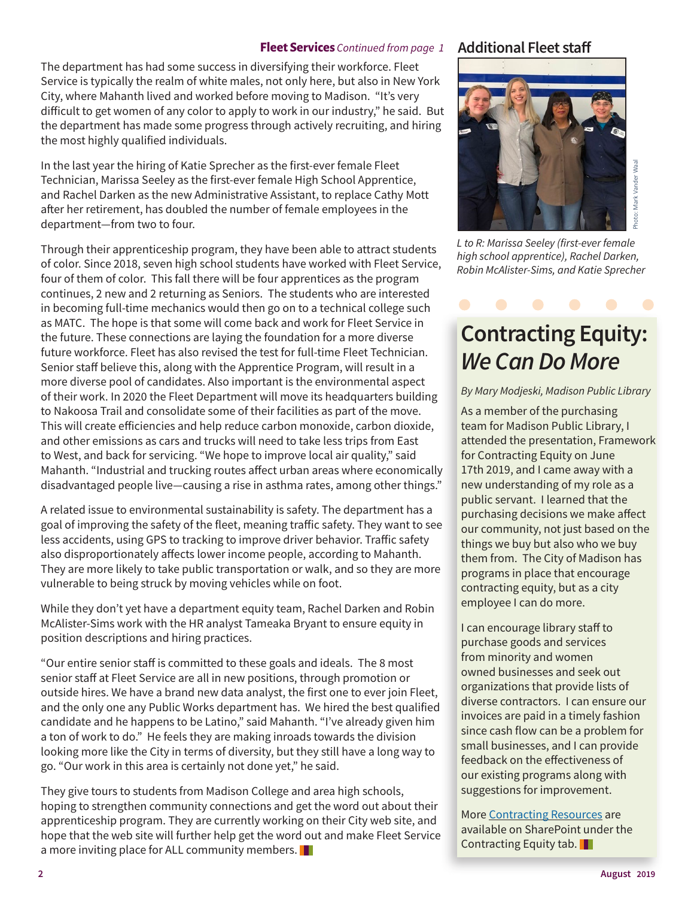#### **Fleet Services** *Continued from page 1*

The department has had some success in diversifying their workforce. Fleet Service is typically the realm of white males, not only here, but also in New York City, where Mahanth lived and worked before moving to Madison. "It's very difficult to get women of any color to apply to work in our industry," he said. But the department has made some progress through actively recruiting, and hiring the most highly qualified individuals.

In the last year the hiring of Katie Sprecher as the first-ever female Fleet Technician, Marissa Seeley as the first-ever female High School Apprentice, and Rachel Darken as the new Administrative Assistant, to replace Cathy Mott after her retirement, has doubled the number of female employees in the department—from two to four.

Through their apprenticeship program, they have been able to attract students of color. Since 2018, seven high school students have worked with Fleet Service, four of them of color. This fall there will be four apprentices as the program continues, 2 new and 2 returning as Seniors. The students who are interested in becoming full-time mechanics would then go on to a technical college such as MATC. The hope is that some will come back and work for Fleet Service in the future. These connections are laying the foundation for a more diverse future workforce. Fleet has also revised the test for full-time Fleet Technician. Senior staff believe this, along with the Apprentice Program, will result in a more diverse pool of candidates. Also important is the environmental aspect of their work. In 2020 the Fleet Department will move its headquarters building to Nakoosa Trail and consolidate some of their facilities as part of the move. This will create efficiencies and help reduce carbon monoxide, carbon dioxide, and other emissions as cars and trucks will need to take less trips from East to West, and back for servicing. "We hope to improve local air quality," said Mahanth. "Industrial and trucking routes affect urban areas where economically disadvantaged people live—causing a rise in asthma rates, among other things."

A related issue to environmental sustainability is safety. The department has a goal of improving the safety of the fleet, meaning traffic safety. They want to see less accidents, using GPS to tracking to improve driver behavior. Traffic safety also disproportionately affects lower income people, according to Mahanth. They are more likely to take public transportation or walk, and so they are more vulnerable to being struck by moving vehicles while on foot.

While they don't yet have a department equity team, Rachel Darken and Robin McAlister-Sims work with the HR analyst Tameaka Bryant to ensure equity in position descriptions and hiring practices.

"Our entire senior staff is committed to these goals and ideals. The 8 most senior staff at Fleet Service are all in new positions, through promotion or outside hires. We have a brand new data analyst, the first one to ever join Fleet, and the only one any Public Works department has. We hired the best qualified candidate and he happens to be Latino," said Mahanth. "I've already given him a ton of work to do." He feels they are making inroads towards the division looking more like the City in terms of diversity, but they still have a long way to go. "Our work in this area is certainly not done yet," he said.

They give tours to students from Madison College and area high schools, hoping to strengthen community connections and get the word out about their apprenticeship program. They are currently working on their City web site, and hope that the web site will further help get the word out and make Fleet Service a more inviting place for ALL community members.

#### **Additional Fleet staff**



*L to R: Marissa Seeley (first-ever female high school apprentice), Rachel Darken, Robin McAlister-Sims, and Katie Sprecher*

## **Contracting Equity:**  *We Can Do More*

#### *By Mary Modjeski, Madison Public Library*

As a member of the purchasing team for Madison Public Library, I attended the presentation, Framework for Contracting Equity on June 17th 2019, and I came away with a new understanding of my role as a public servant. I learned that the purchasing decisions we make affect our community, not just based on the things we buy but also who we buy them from. The City of Madison has programs in place that encourage contracting equity, but as a city employee I can do more.

I can encourage library staff to purchase goods and services from minority and women owned businesses and seek out organizations that provide lists of diverse contractors. I can ensure our invoices are paid in a timely fashion since cash flow can be a problem for small businesses, and I can provide feedback on the effectiveness of our existing programs along with suggestions for improvement.

More Contracting Resources are available on SharePoint under the Contracting Equity tab.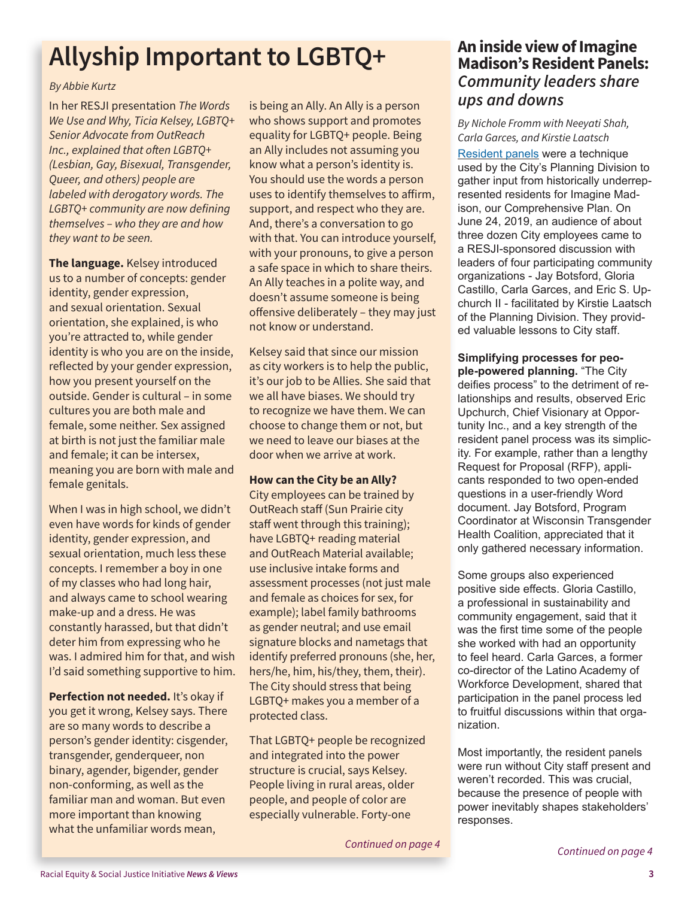# **Allyship Important to LGBTQ+**

#### *By Abbie Kurtz*

In her RESJI presentation *The Words We Use and Why, Ticia Kelsey, LGBTQ+ Senior Advocate from OutReach Inc., explained that often LGBTQ+ (Lesbian, Gay, Bisexual, Transgender, Queer, and others) people are labeled with derogatory words. The LGBTQ+ community are now defining themselves – who they are and how they want to be seen.*

**The language.** Kelsey introduced us to a number of concepts: gender identity, gender expression, and sexual orientation. Sexual orientation, she explained, is who you're attracted to, while gender identity is who you are on the inside, reflected by your gender expression, how you present yourself on the outside. Gender is cultural – in some cultures you are both male and female, some neither. Sex assigned at birth is not just the familiar male and female; it can be intersex, meaning you are born with male and female genitals.

When I was in high school, we didn't even have words for kinds of gender identity, gender expression, and sexual orientation, much less these concepts. I remember a boy in one of my classes who had long hair, and always came to school wearing make-up and a dress. He was constantly harassed, but that didn't deter him from expressing who he was. I admired him for that, and wish I'd said something supportive to him.

**Perfection not needed.** It's okay if you get it wrong, Kelsey says. There are so many words to describe a person's gender identity: cisgender, transgender, genderqueer, non binary, agender, bigender, gender non-conforming, as well as the familiar man and woman. But even more important than knowing what the unfamiliar words mean,

is being an Ally. An Ally is a person who shows support and promotes equality for LGBTQ+ people. Being an Ally includes not assuming you know what a person's identity is. You should use the words a person uses to identify themselves to affirm, support, and respect who they are. And, there's a conversation to go with that. You can introduce yourself, with your pronouns, to give a person a safe space in which to share theirs. An Ally teaches in a polite way, and doesn't assume someone is being offensive deliberately – they may just not know or understand.

Kelsey said that since our mission as city workers is to help the public, it's our job to be Allies. She said that we all have biases. We should try to recognize we have them. We can choose to change them or not, but we need to leave our biases at the door when we arrive at work.

#### **How can the City be an Ally?**

City employees can be trained by OutReach staff (Sun Prairie city staff went through this training); have LGBTQ+ reading material and OutReach Material available; use inclusive intake forms and assessment processes (not just male and female as choices for sex, for example); label family bathrooms as gender neutral; and use email signature blocks and nametags that identify preferred pronouns (she, her, hers/he, him, his/they, them, their). The City should stress that being LGBTQ+ makes you a member of a protected class.

That LGBTQ+ people be recognized and integrated into the power structure is crucial, says Kelsey. People living in rural areas, older people, and people of color are especially vulnerable. Forty-one

#### *Continued on page 4*

#### **An inside view of Imagine Madison's Resident Panels:** *Community leaders share ups and downs*

*By Nichole Fromm with Neeyati Shah, Carla Garces, and Kirstie Laatsch* Resident panels were a technique used by the City's Planning Division to gather input from historically underrepresented residents for Imagine Madison, our Comprehensive Plan. On June 24, 2019, an audience of about three dozen City employees came to a RESJI-sponsored discussion with leaders of four participating community organizations - Jay Botsford, Gloria Castillo, Carla Garces, and Eric S. Upchurch II - facilitated by Kirstie Laatsch of the Planning Division. They provided valuable lessons to City staff.

### **Simplifying processes for peo-**

**ple-powered planning.** "The City deifies process" to the detriment of relationships and results, observed Eric Upchurch, Chief Visionary at Opportunity Inc., and a key strength of the resident panel process was its simplicity. For example, rather than a lengthy Request for Proposal (RFP), applicants responded to two open-ended questions in a user-friendly Word document. Jay Botsford, Program Coordinator at Wisconsin Transgender Health Coalition, appreciated that it only gathered necessary information.

Some groups also experienced positive side effects. Gloria Castillo, a professional in sustainability and community engagement, said that it was the first time some of the people she worked with had an opportunity to feel heard. Carla Garces, a former co-director of the Latino Academy of Workforce Development, shared that participation in the panel process led to fruitful discussions within that organization.

Most importantly, the resident panels were run without City staff present and weren't recorded. This was crucial, because the presence of people with power inevitably shapes stakeholders' responses.